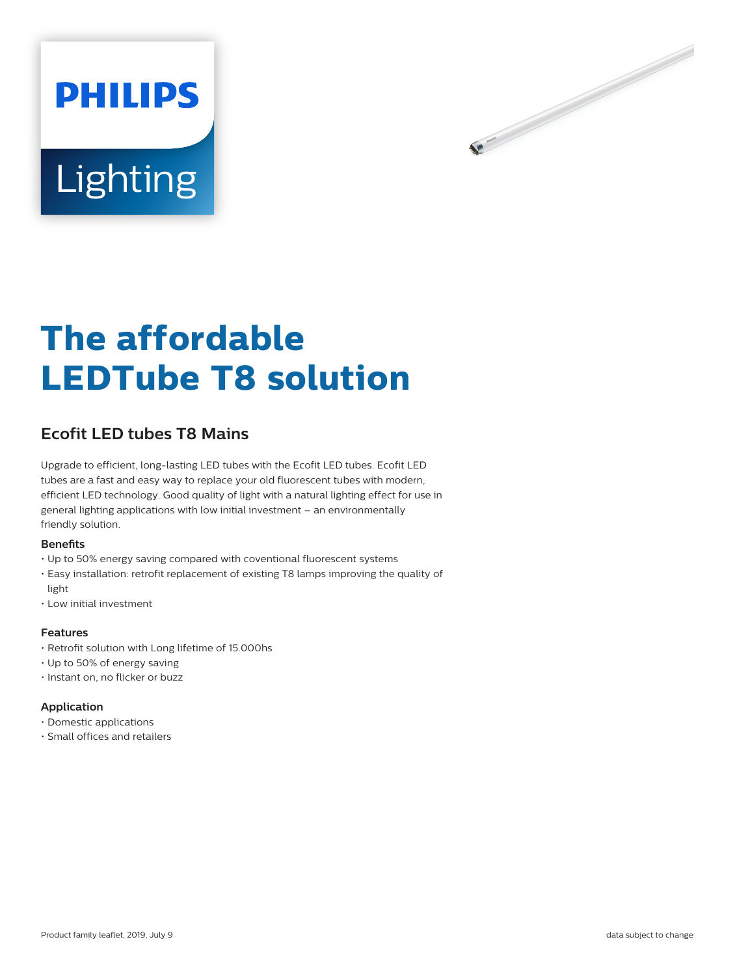



# **The affordable LEDTube T8 solution**

# **Ecofit LED tubes T8 Mains**

Upgrade to efficient, long-lasting LED tubes with the Ecofit LED tubes. Ecofit LED tubes are a fast and easy way to replace your old fluorescent tubes with modern, efficient LED technology. Good quality of light with a natural lighting effect for use in general lighting applications with low initial investment – an environmentally friendly solution.

#### **Benefits**

- Up to 50% energy saving compared with coventional fluorescent systems
- Easy installation: retrofit replacement of existing T8 lamps improving the quality of light
- Low initial investment

### **Features**

- Retrofit solution with Long lifetime of 15.000hs
- Up to 50% of energy saving
- Instant on, no flicker or buzz

#### **Application**

- Domestic applications
- Small offices and retailers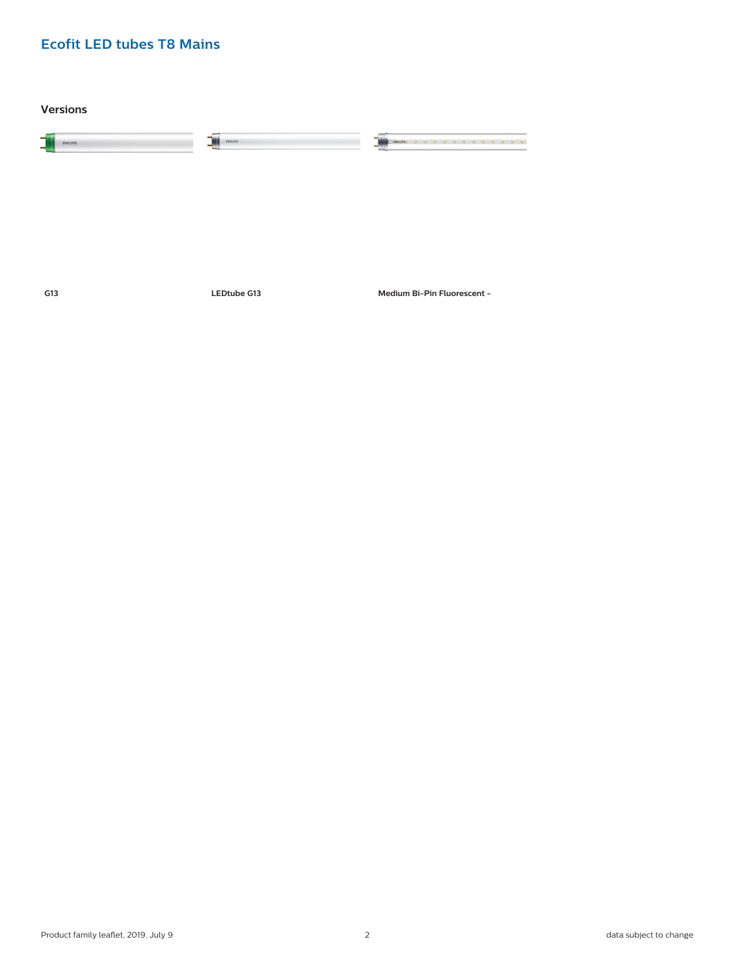**Versions**

| -<br><b>PHILIPS</b><br>- | <b>PHILIPS</b> |  |
|--------------------------|----------------|--|
|                          |                |  |

**G13 LEDtube G13 Medium Bi-Pin Fluorescent -**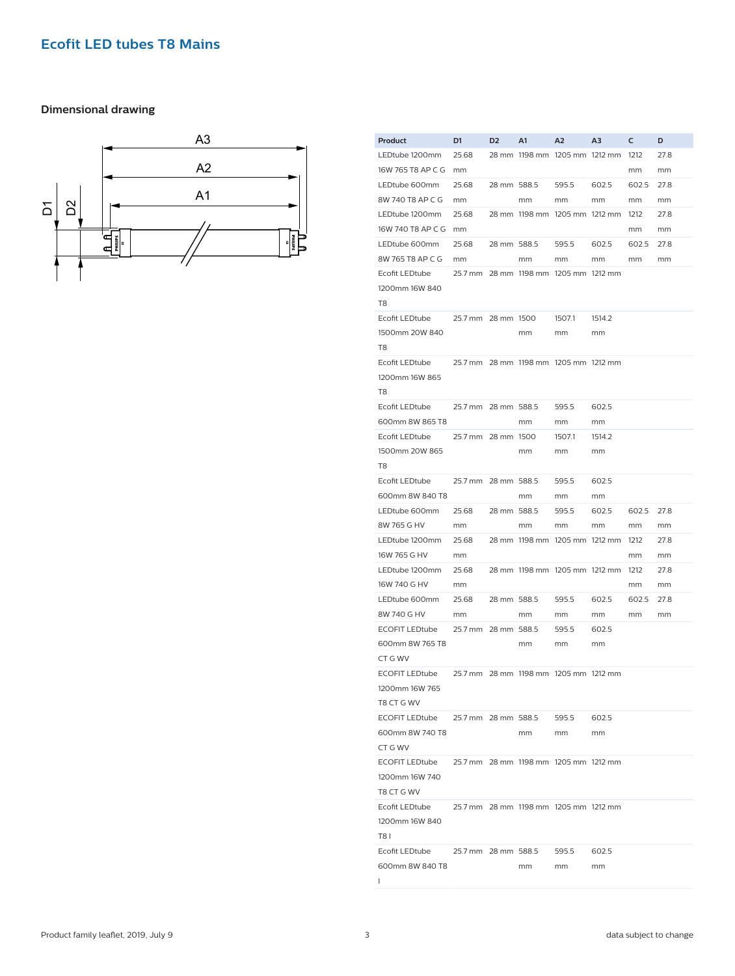## **Dimensional drawing**



| Product                                        | D1                  | D <sub>2</sub> | A1          | A <sub>2</sub>                        | ΑЗ     | c     | D    |
|------------------------------------------------|---------------------|----------------|-------------|---------------------------------------|--------|-------|------|
| LEDtube 1200mm                                 | 25.68               |                |             | 28 mm 1198 mm 1205 mm 1212 mm 1212    |        |       | 27.8 |
| 16W 765 T8 AP C G mm                           |                     |                |             |                                       |        | mm    | mm   |
| LEDtube 600mm                                  | 25.68               | 28 mm 588.5    |             | 595.5                                 | 602.5  | 602.5 | 27.8 |
| 8W 740 T8 AP C G                               | mm                  |                | mm          | mm                                    | mm     | mm    | mm   |
|                                                |                     |                |             |                                       |        |       |      |
| LEDtube 1200mm                                 | 25.68               |                |             | 28 mm 1198 mm 1205 mm 1212 mm 1212    |        |       | 27.8 |
| 16W 740 T8 AP C G mm                           |                     |                |             |                                       |        | mm    | mm   |
| LEDtube 600mm                                  | 25.68               |                | 28 mm 588.5 | 595.5                                 | 602.5  | 602.5 | 27.8 |
| 8W 765 T8 AP C G                               | mm                  |                | mm          | mm                                    | mm     | mm    | mm   |
| Ecofit LEDtube                                 |                     |                |             | 25.7 mm 28 mm 1198 mm 1205 mm 1212 mm |        |       |      |
| 1200mm 16W 840                                 |                     |                |             |                                       |        |       |      |
| T8                                             |                     |                |             |                                       |        |       |      |
| Ecofit LEDtube                                 | 25.7 mm 28 mm 1500  |                |             | 1507.1                                | 1514.2 |       |      |
| 1500mm 20W 840                                 |                     |                | mm          | mm                                    | mm     |       |      |
|                                                |                     |                |             |                                       |        |       |      |
| T8                                             |                     |                |             |                                       |        |       |      |
| Ecofit LEDtube                                 |                     |                |             | 25.7 mm 28 mm 1198 mm 1205 mm 1212 mm |        |       |      |
| 1200mm 16W 865                                 |                     |                |             |                                       |        |       |      |
| T8                                             |                     |                |             |                                       |        |       |      |
| Ecofit LEDtube                                 | 25.7 mm 28 mm 588.5 |                |             | 595.5                                 | 602.5  |       |      |
| 600mm 8W 865 T8                                |                     |                | mm          | mm                                    | mm     |       |      |
| Ecofit LEDtube                                 | 25.7 mm 28 mm 1500  |                |             | 1507.1                                | 1514.2 |       |      |
| 1500mm 20W 865                                 |                     |                | mm          | mm                                    | mm     |       |      |
| T8                                             |                     |                |             |                                       |        |       |      |
| Ecofit LEDtube                                 |                     |                |             | 595.5                                 | 602.5  |       |      |
|                                                | 25.7 mm 28 mm 588.5 |                |             |                                       |        |       |      |
| 600mm 8W 840 T8                                |                     |                | mm          | mm                                    | mm     |       |      |
| LEDtube 600mm                                  | 25.68               | 28 mm 588.5    |             | 595.5                                 | 602.5  | 602.5 | 27.8 |
| 8W 765 G HV                                    | mm                  |                | mm          | mm                                    | mm     | mm    | mm   |
| LEDtube 1200mm                                 | 25.68               |                |             | 28 mm 1198 mm 1205 mm 1212 mm 1212    |        |       | 27.8 |
| 16W 765 G HV                                   | mm                  |                |             |                                       |        | mm    | mm   |
| LEDtube 1200mm                                 | 25.68               |                |             | 28 mm 1198 mm 1205 mm 1212 mm 1212    |        |       | 27.8 |
| 16W 740 G HV                                   | mm                  |                |             |                                       |        | mm    | mm   |
| LEDtube 600mm                                  | 25.68               | 28 mm 588.5    |             | 595.5                                 | 602.5  | 602.5 | 27.8 |
| 8W 740 G HV                                    | mm                  |                | mm          | mm                                    | mm     | mm    | mm   |
| <b>ECOFIT LEDtube</b>                          | 25.7 mm 28 mm 588.5 |                |             | 595.5                                 | 602.5  |       |      |
|                                                |                     |                |             |                                       |        |       |      |
| 600mm 8W 765 T8                                |                     |                | mm          | mm                                    | mm     |       |      |
| CT G WV                                        |                     |                |             |                                       |        |       |      |
| <b>ECOFIT LEDtube</b>                          |                     |                |             | 25.7 mm 28 mm 1198 mm 1205 mm 1212 mm |        |       |      |
| 1200mm 16W 765                                 |                     |                |             |                                       |        |       |      |
| T8 CT G WV                                     |                     |                |             |                                       |        |       |      |
| ECOFIT LEDtube 25.7 mm 28 mm 588.5 595.5 602.5 |                     |                |             |                                       |        |       |      |
| 600mm 8W 740 T8                                |                     |                | mm          | mm                                    | mm     |       |      |
| CT G WV                                        |                     |                |             |                                       |        |       |      |
| <b>ECOFIT LEDtube</b>                          |                     |                |             | 25.7 mm 28 mm 1198 mm 1205 mm 1212 mm |        |       |      |
| 1200mm 16W 740                                 |                     |                |             |                                       |        |       |      |
| T8 CT G WV                                     |                     |                |             |                                       |        |       |      |
|                                                |                     |                |             |                                       |        |       |      |
| Ecofit LEDtube                                 |                     |                |             | 25.7 mm 28 mm 1198 mm 1205 mm 1212 mm |        |       |      |
| 1200mm 16W 840                                 |                     |                |             |                                       |        |       |      |
| <b>T81</b>                                     |                     |                |             |                                       |        |       |      |
| Ecofit LEDtube 25.7 mm 28 mm 588.5             |                     |                |             | 595.5                                 | 602.5  |       |      |
| 600mm 8W 840 T8                                |                     |                | mm          | mm                                    | mm     |       |      |
| $\mathsf{I}$                                   |                     |                |             |                                       |        |       |      |
|                                                |                     |                |             |                                       |        |       |      |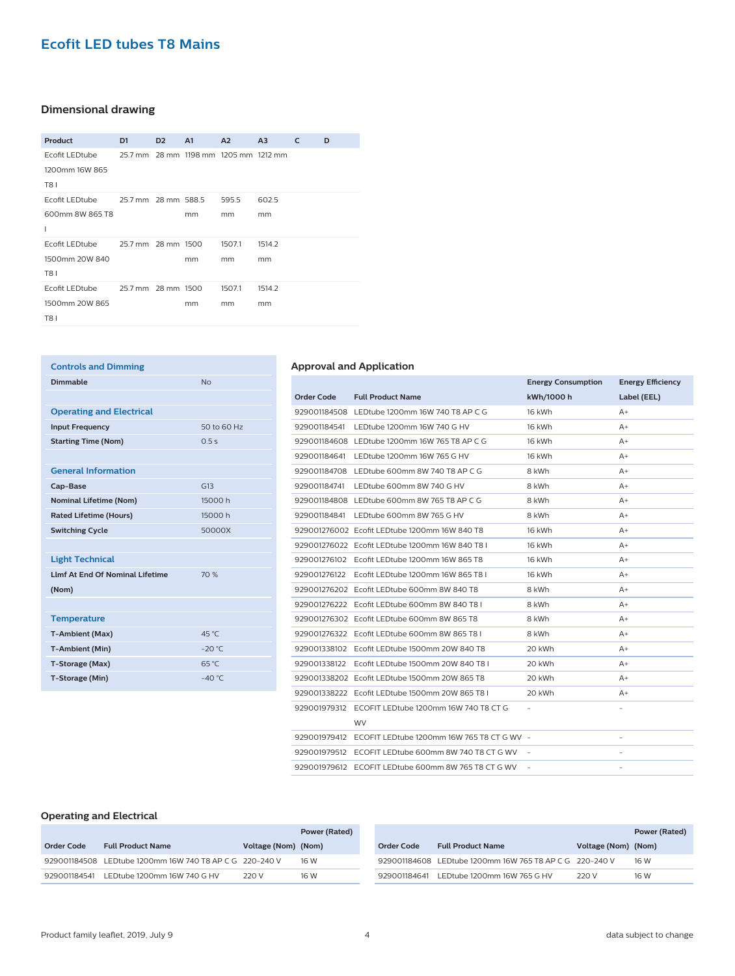## **Dimensional drawing**

| Product               | D <sub>1</sub>      | D <sub>2</sub> | A <sub>1</sub> | A <sub>2</sub>                        | A <sub>3</sub> | C | D |
|-----------------------|---------------------|----------------|----------------|---------------------------------------|----------------|---|---|
| Ecofit LEDtube        |                     |                |                | 25.7 mm 28 mm 1198 mm 1205 mm 1212 mm |                |   |   |
| 1200mm 16W 865        |                     |                |                |                                       |                |   |   |
| <b>T81</b>            |                     |                |                |                                       |                |   |   |
| Ecofit LEDtube        | 25.7 mm 28 mm 588.5 |                |                | 595.5                                 | 602.5          |   |   |
| 600mm 8W 865 T8       |                     |                | mm             | mm                                    | mm             |   |   |
| т                     |                     |                |                |                                       |                |   |   |
| <b>Ecofit LEDtube</b> | 25.7 mm 28 mm 1500  |                |                | 1507.1                                | 1514.2         |   |   |
| 1500mm 20W 840        |                     |                | mm             | mm                                    | mm             |   |   |
| <b>T81</b>            |                     |                |                |                                       |                |   |   |
| Ecofit LEDtube        | 25.7 mm 28 mm 1500  |                |                | 1507.1                                | 1514.2         |   |   |
| 1500mm 20W 865        |                     |                | mm             | mm                                    | mm             |   |   |
| <b>T81</b>            |                     |                |                |                                       |                |   |   |

| <b>Controls and Dimming</b>            |                |
|----------------------------------------|----------------|
| Dimmable                               | N <sub>0</sub> |
|                                        |                |
| <b>Operating and Electrical</b>        |                |
| <b>Input Frequency</b>                 | 50 to 60 Hz    |
| <b>Starting Time (Nom)</b>             | 0.5s           |
|                                        |                |
| <b>General Information</b>             |                |
| Cap-Base                               | G13            |
| <b>Nominal Lifetime (Nom)</b>          | 15000h         |
| <b>Rated Lifetime (Hours)</b>          | 15000h         |
| <b>Switching Cycle</b>                 | 50000X         |
|                                        |                |
| <b>Light Technical</b>                 |                |
| <b>Llmf At End Of Nominal Lifetime</b> | 70%            |
| (Nom)                                  |                |
|                                        |                |
| <b>Temperature</b>                     |                |
| <b>T-Ambient (Max)</b>                 | 45 °C          |
| <b>T-Ambient (Min)</b>                 | $-20 °C$       |
| T-Storage (Max)                        | 65 °C          |
| T-Storage (Min)                        | $-40 °C$       |

#### **Approval and Application**

|                   |                                                         | <b>Energy Consumption</b> | <b>Energy Efficiency</b> |  |
|-------------------|---------------------------------------------------------|---------------------------|--------------------------|--|
| <b>Order Code</b> | <b>Full Product Name</b>                                | kWh/1000 h                | Label (EEL)              |  |
|                   | 929001184508 LEDtube 1200mm 16W 740 T8 AP C G           | 16 kWh                    | $A+$                     |  |
|                   | 929001184541 LEDtube 1200mm 16W 740 G HV                | 16 kWh                    | $A+$                     |  |
|                   | 929001184608 LEDtube 1200mm 16W 765 T8 AP C G           | 16 kWh                    | $A+$                     |  |
|                   | 929001184641 LEDtube 1200mm 16W 765 G HV                | 16 kWh                    | $A+$                     |  |
|                   | 929001184708 LEDtube 600mm 8W 740 T8 AP C G             | 8 kWh                     | $A+$                     |  |
| 929001184741      | LEDtube 600mm 8W 740 G HV                               | 8 kWh                     | $A+$                     |  |
|                   | 929001184808 LEDtube 600mm 8W 765 T8 AP C G             | 8 kWh                     | $A+$                     |  |
|                   | 929001184841 LEDtube 600mm 8W 765 G HV                  | 8 kWh                     | $A+$                     |  |
|                   | 929001276002 Ecofit LEDtube 1200mm 16W 840 T8           | 16 kWh                    | A+                       |  |
|                   | 929001276022    Ecofit LEDtube 1200mm 16W 840 T8 L      | 16 kWh                    | $A+$                     |  |
|                   | 929001276102 Fcofit LEDtube 1200mm 16W 865 T8           | 16 kWh                    | $A+$                     |  |
|                   | 929001276122    Ecofit LEDtube 1200mm 16W 865 T8 I      | 16 kWh                    | A+                       |  |
|                   | 929001276202 Fcofit LEDtube 600mm 8W 840 T8             | 8 kWh                     | $A+$                     |  |
|                   | 929001276222 Ecofit LEDtube 600mm 8W 840 T8 I           | 8 kWh                     | $A+$                     |  |
|                   | 929001276302 Ecofit LEDtube 600mm 8W 865 T8             | 8 kWh                     | A+                       |  |
|                   | 929001276322    Ecofit LEDtube 600mm 8W 865 T8 L        | 8 kWh                     | $A+$                     |  |
|                   | 929001338102 Ecofit LEDtube 1500mm 20W 840 T8           | 20 kWh                    | $A+$                     |  |
|                   | 929001338122    Ecofit LEDtube 1500mm 20W 840 T8 L      | 20 kWh                    | $A+$                     |  |
|                   | 929001338202 Ecofit LEDtube 1500mm 20W 865 T8           | 20 kWh                    | $A+$                     |  |
|                   | 929001338222 Ecofit LEDtube 1500mm 20W 865 T8 I         | 20 kWh                    | $A+$                     |  |
|                   | 929001979312    ECOFIT LEDtube 1200mm 16W 740 T8 CT G   |                           |                          |  |
|                   | <b>WV</b>                                               |                           |                          |  |
|                   | 929001979412 ECOFIT LEDtube 1200mm 16W 765 T8 CT G WV - |                           | $\overline{\phantom{a}}$ |  |
|                   | 929001979512 ECOFIT LEDtube 600mm 8W 740 T8 CT G WV -   |                           |                          |  |
|                   | 929001979612 ECOFIT LEDtube 600mm 8W 765 T8 CT G WV     |                           |                          |  |

#### **Operating and Electrical**

|              |                                                         |                     | Power (Rated) |              |                                                         |                     | Power (Rated) |
|--------------|---------------------------------------------------------|---------------------|---------------|--------------|---------------------------------------------------------|---------------------|---------------|
| Order Code   | <b>Full Product Name</b>                                | Voltage (Nom) (Nom) |               | Order Code   | <b>Full Product Name</b>                                | Voltage (Nom) (Nom) |               |
|              | 929001184508 LEDtube 1200mm 16W 740 T8 AP C G 220-240 V |                     | 16 W          |              | 929001184608 LEDtube 1200mm 16W 765 T8 AP C G 220-240 V |                     | 16 W          |
| 929001184541 | LEDtube 1200mm 16W 740 G HV                             | 220 V               | 16 W          | 929001184641 | LEDtube 1200mm 16W 765 G HV                             | 220 V               | 16 W          |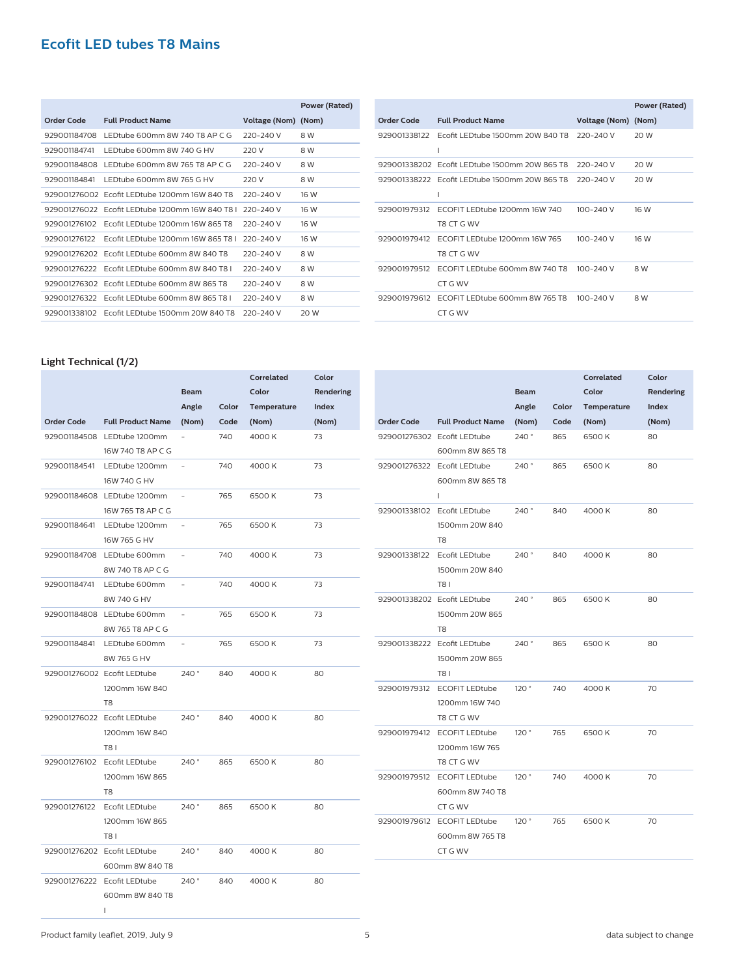|              |                                                 |                     | Power (Rated) |
|--------------|-------------------------------------------------|---------------------|---------------|
| Order Code   | <b>Full Product Name</b>                        | Voltage (Nom) (Nom) |               |
| 929001184708 | LEDtube 600mm 8W 740 T8 AP C G                  | 220-240 V           | 8 W           |
| 929001184741 | LEDtube 600mm 8W 740 G HV                       | 220 V               | 8 W           |
| 929001184808 | LEDtube 600mm 8W 765 T8 AP C G                  | 220-240 V           | 8 W           |
| 929001184841 | LEDtube 600mm 8W 765 G HV                       | 220 V               | 8 W           |
|              | 929001276002 Ecofit LEDtube 1200mm 16W 840 T8   | 220-240 V           | 16 W          |
|              | 929001276022 Ecofit LEDtube 1200mm 16W 840 T8 L | 220-240 V           | 16 W          |
| 929001276102 | Ecofit LEDtube 1200mm 16W 865 T8                | 220-240 V           | 16 W          |
| 929001276122 | Ecofit LEDtube 1200mm 16W 865 T8 L              | 220-240 V           | 16 W          |
| 929001276202 | Ecofit LEDtube 600mm 8W 840 T8                  | 220-240 V           | 8 W           |
|              | 929001276222 Ecofit LEDtube 600mm 8W 840 T8 L   | 220-240 V           | 8 W           |
| 929001276302 | Ecofit LEDtube 600mm 8W 865 T8                  | 220-240 V           | 8 W           |
| 929001276322 | Ecofit LEDtube 600mm 8W 865 T8 L                | 220-240 V           | 8 W           |
| 929001338102 | Ecofit   EDtube 1500mm 20W 840 T8               | 220-240 V           | 20 W          |

|              |                                                                  |                     | Power (Rated) |
|--------------|------------------------------------------------------------------|---------------------|---------------|
| Order Code   | <b>Full Product Name</b>                                         | Voltage (Nom) (Nom) |               |
| 929001338122 | Ecofit LEDtube 1500mm 20W 840 T8 220-240 V                       |                     | 20 W          |
|              | 929001338202 Ecofit LEDtube 1500mm 20W 865 T8                    | 220-240 V           | 20 W          |
|              | 929001338222 Ecofit LEDtube 1500mm 20W 865 T8 220-240 V<br>ı     |                     | 20 W          |
| 929001979312 | ECOFIT LEDtube 1200mm 16W 740<br>T8 CT G WV                      | $100 - 240$ V       | 16 W          |
| 929001979412 | ECOFIT LEDtube 1200mm 16W 765<br>T8 CT G WV                      | $100 - 240$ V       | 16 W          |
| 929001979512 | ECOFIT LEDtube 600mm 8W 740 T8 100-240 V<br>CT G WV              |                     | 8 W           |
|              | 929001979612 ECOFIT LEDtube 600mm 8W 765 T8 100-240 V<br>CT G WV |                     | 8 W           |

## **Light Technical (1/2)**

|                   |                             |                          |       | Correlated  | Color     |
|-------------------|-----------------------------|--------------------------|-------|-------------|-----------|
|                   |                             | <b>Beam</b>              |       | Color       | Rendering |
|                   |                             | Angle                    | Color | Temperature | Index     |
| <b>Order Code</b> | <b>Full Product Name</b>    | (Nom)                    | Code  | (Nom)       | (Nom)     |
|                   | 929001184508 LEDtube 1200mm |                          | 740   | 4000K       | 73        |
|                   | 16W 740 T8 AP C G           |                          |       |             |           |
| 929001184541      | LEDtube 1200mm              | L,                       | 740   | 4000 K      | 73        |
|                   | 16W 740 G HV                |                          |       |             |           |
|                   | 929001184608 LEDtube 1200mm |                          | 765   | 6500K       | 73        |
|                   | 16W 765 T8 AP C G           |                          |       |             |           |
| 929001184641      | LEDtube 1200mm              |                          | 765   | 6500K       | 73        |
|                   | 16W 765 G HV                |                          |       |             |           |
| 929001184708      | LEDtube 600mm               |                          | 740   | 4000 K      | 73        |
|                   | 8W 740 T8 AP C G            |                          |       |             |           |
| 929001184741      | LEDtube 600mm               |                          | 740   | 4000 K      | 73        |
|                   | 8W 740 G HV                 |                          |       |             |           |
|                   | 929001184808 LEDtube 600mm  |                          | 765   | 6500K       | 73        |
|                   | 8W 765 T8 AP C G            |                          |       |             |           |
| 929001184841      | LEDtube 600mm               | $\overline{\phantom{a}}$ | 765   | 6500K       | 73        |
|                   | 8W 765 G HV                 |                          |       |             |           |
|                   | 929001276002 Ecofit LEDtube | 240°                     | 840   | 4000 K      | 80        |
|                   | 1200mm 16W 840              |                          |       |             |           |
|                   | T <sub>8</sub>              |                          |       |             |           |
|                   | 929001276022 Ecofit LEDtube | 240°                     | 840   | 4000 K      | 80        |
|                   | 1200mm 16W 840              |                          |       |             |           |
|                   | <b>T81</b>                  |                          |       |             |           |
| 929001276102      | Ecofit LEDtube              | 240°                     | 865   | 6500K       | 80        |
|                   | 1200mm 16W 865              |                          |       |             |           |
|                   | T8                          |                          |       |             |           |
| 929001276122      | Ecofit LEDtube              | 240°                     | 865   | 6500K       | 80        |
|                   | 1200mm 16W 865              |                          |       |             |           |
|                   | T81                         |                          |       |             |           |
|                   | 929001276202 Ecofit LEDtube | 240°                     | 840   | 4000K       | 80        |
|                   | 600mm 8W 840 T8             |                          |       |             |           |
|                   | 929001276222 Ecofit LEDtube | 240°                     | 840   | 4000 K      | 80        |
|                   | 600mm 8W 840 T8             |                          |       |             |           |
|                   | $\mathsf{I}$                |                          |       |             |           |

|                             |                          |             |       | Correlated  | Color     |
|-----------------------------|--------------------------|-------------|-------|-------------|-----------|
|                             |                          | <b>Beam</b> |       | Color       | Rendering |
|                             |                          | Angle       | Color | Temperature | Index     |
| <b>Order Code</b>           | <b>Full Product Name</b> | (Nom)       | Code  | (Nom)       | (Nom)     |
| 929001276302 Ecofit LEDtube |                          | 240°        | 865   | 6500K       | 80        |
|                             | 600mm 8W 865 T8          |             |       |             |           |
| 929001276322 Ecofit LEDtube |                          | 240°        | 865   | 6500K       | 80        |
|                             | 600mm 8W 865 T8          |             |       |             |           |
|                             | T                        |             |       |             |           |
| 929001338102                | Ecofit LEDtube           | 240°        | 840   | 4000 K      | 80        |
|                             | 1500mm 20W 840           |             |       |             |           |
|                             | T <sub>8</sub>           |             |       |             |           |
| 929001338122                | Ecofit LEDtube           | 240°        | 840   | 4000K       | 80        |
|                             | 1500mm 20W 840           |             |       |             |           |
|                             | T81                      |             |       |             |           |
| 929001338202 Ecofit LEDtube |                          | 240°        | 865   | 6500K       | 80        |
|                             | 1500mm 20W 865           |             |       |             |           |
|                             | T <sub>8</sub>           |             |       |             |           |
| 929001338222 Ecofit LEDtube |                          | 240°        | 865   | 6500K       | 80        |
|                             | 1500mm 20W 865           |             |       |             |           |
|                             | T81                      |             |       |             |           |
| 929001979312                | <b>ECOFIT LEDtube</b>    | 120°        | 740   | 4000K       | 70        |
|                             | 1200mm 16W 740           |             |       |             |           |
|                             | T8 CT G WV               |             |       |             |           |
| 929001979412                | <b>ECOFIT LEDtube</b>    | 120°        | 765   | 6500 K      | 70        |
|                             | 1200mm 16W 765           |             |       |             |           |
|                             | T8 CT G WV               |             |       |             |           |
| 929001979512                | <b>ECOFIT LEDtube</b>    | 120°        | 740   | 4000K       | 70        |
|                             | 600mm 8W 740 T8          |             |       |             |           |
|                             | CT G WV                  |             |       |             |           |
| 929001979612                | <b>ECOFIT LEDtube</b>    | 120°        | 765   | 6500K       | 70        |
|                             | 600mm 8W 765 T8          |             |       |             |           |
|                             | CT G WV                  |             |       |             |           |
|                             |                          |             |       |             |           |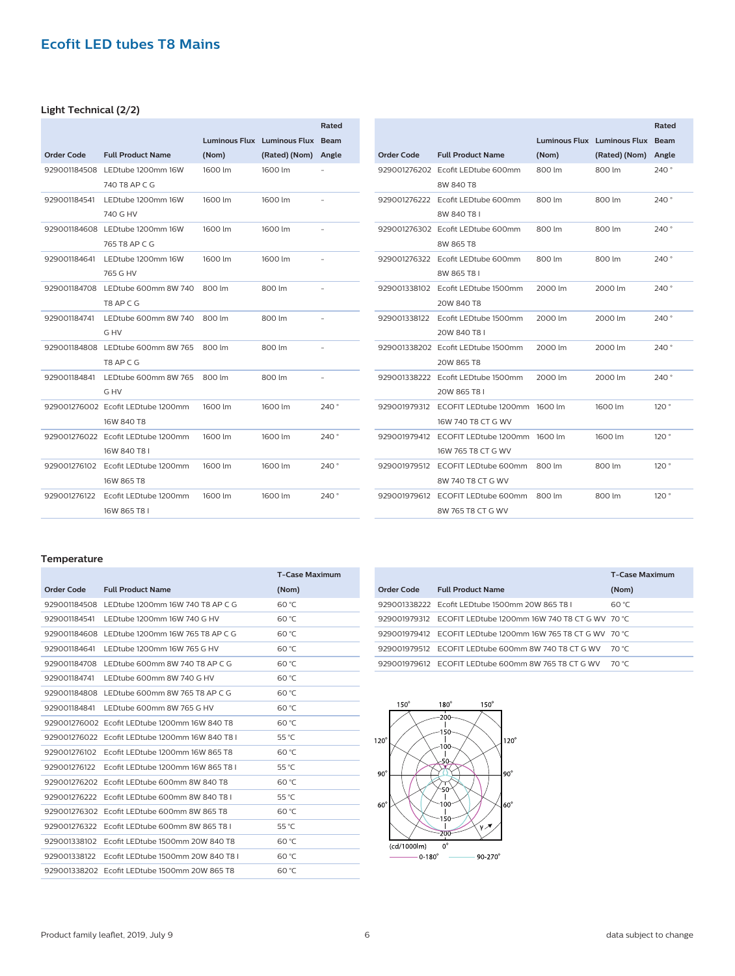## **Light Technical (2/2)**

|              |                                    |         |                             | Rated          |
|--------------|------------------------------------|---------|-----------------------------|----------------|
|              |                                    |         | Luminous Flux Luminous Flux | <b>Beam</b>    |
| Order Code   | <b>Full Product Name</b>           | (Nom)   | (Rated) (Nom)               | Angle          |
|              | 929001184508 LEDtube 1200mm 16W    | 1600 lm | 1600 lm                     |                |
|              | 740 T8 AP C G                      |         |                             |                |
| 929001184541 | LEDtube 1200mm 16W                 | 1600 lm | 1600 lm                     |                |
|              | 740 G HV                           |         |                             |                |
|              | 929001184608 LEDtube 1200mm 16W    | 1600 lm | 1600 lm                     |                |
|              | 765 T8 AP C G                      |         |                             |                |
| 929001184641 | LEDtube 1200mm 16W                 | 1600 lm | 1600 lm                     |                |
|              | 765 G HV                           |         |                             |                |
| 929001184708 | LEDtube 600mm 8W 740               | 800 lm  | 800 lm                      |                |
|              | T8 AP C G                          |         |                             |                |
| 929001184741 | LEDtube 600mm 8W 740               | 800 lm  | 800 lm                      |                |
|              | G HV                               |         |                             |                |
|              | 929001184808 LEDtube 600mm 8W 765  | 800 lm  | 800 lm                      |                |
|              | T8 AP C G                          |         |                             |                |
| 929001184841 | LEDtube 600mm 8W 765               | 800 lm  | 800 lm                      | $\overline{a}$ |
|              | G HV                               |         |                             |                |
|              | 929001276002 Fcofit LEDtube 1200mm | 1600 lm | 1600 lm                     | 240 °          |
|              | 16W 840 T8                         |         |                             |                |
|              | 929001276022 Ecofit LEDtube 1200mm | 1600 lm | 1600 lm                     | 240°           |
|              | 16W 840 T8 L                       |         |                             |                |
| 929001276102 | Ecofit LEDtube 1200mm              | 1600 lm | 1600 lm                     | 240°           |
|              | 16W 865 T8                         |         |                             |                |
| 929001276122 | Ecofit LEDtube 1200mm              | 1600 lm | 1600 lm                     | 240°           |
|              | 16W 865 T8 I                       |         |                             |                |

|              |                                    |         |                                    | Rated       |
|--------------|------------------------------------|---------|------------------------------------|-------------|
|              |                                    |         | <b>Luminous Flux Luminous Flux</b> | <b>Beam</b> |
| Order Code   | <b>Full Product Name</b>           | (Nom)   | (Rated) (Nom)                      | Angle       |
|              | 929001276202 Fcofit LEDtube 600mm  | 800 lm  | 800 lm                             | 240°        |
|              | 8W 840 T8                          |         |                                    |             |
| 929001276222 | Ecofit LEDtube 600mm               | 800 lm  | 800 lm                             | 240°        |
|              | 8W 840 T81                         |         |                                    |             |
|              | 929001276302 Ecofit LEDtube 600mm  | 800 lm  | 800 lm                             | 240°        |
|              | 8W 865 T8                          |         |                                    |             |
| 929001276322 | Ecofit LEDtube 600mm               | 800 lm  | 800 lm                             | 240°        |
|              | 8W 865 T8 L                        |         |                                    |             |
| 929001338102 | Ecofit LEDtube 1500mm              | 2000 lm | 2000 lm                            | 240°        |
|              | 20W 840 T8                         |         |                                    |             |
| 929001338122 | Ecofit LEDtube 1500mm              | 2000 lm | 2000 lm                            | 240°        |
|              | 20W 840 T8 L                       |         |                                    |             |
|              | 929001338202 Fcofit LEDtube 1500mm | 2000 lm | 2000 lm                            | 240°        |
|              | 20W 865 T8                         |         |                                    |             |
| 929001338222 | Ecofit LEDtube 1500mm              | 2000 lm | 2000 lm                            | 240°        |
|              | 20W 865 T8 L                       |         |                                    |             |
| 929001979312 | ECOFIT LEDtube 1200mm              | 1600 lm | 1600 lm                            | 120°        |
|              | 16W 740 T8 CT G WV                 |         |                                    |             |
| 929001979412 | ECOFIT LEDtube 1200mm 1600 lm      |         | 1600 lm                            | 120°        |
|              | 16W 765 T8 CT G WV                 |         |                                    |             |
| 929001979512 | ECOFIT LEDtube 600mm               | 800 lm  | 800 lm                             | 120°        |
|              | 8W 740 T8 CT G WV                  |         |                                    |             |
| 929001979612 | ECOFIT LEDtube 600mm               | 800 lm  | 800 lm                             | 120°        |
|              | 8W 765 T8 CT G WV                  |         |                                    |             |

#### **Temperature**

|              |                                                    | <b>T-Case Maximum</b> |
|--------------|----------------------------------------------------|-----------------------|
| Order Code   | <b>Full Product Name</b>                           | (Nom)                 |
|              | 929001184508 LEDtube 1200mm 16W 740 T8 AP C G      | 60 °C                 |
| 929001184541 | LEDtube 1200mm 16W 740 G HV                        | 60 °C                 |
|              | 929001184608 LEDtube 1200mm 16W 765 T8 AP C G      | 60 °C                 |
| 929001184641 | LEDtube 1200mm 16W 765 G HV                        | 60 °C                 |
| 929001184708 | LEDtube 600mm 8W 740 T8 AP C G                     | 60 °C                 |
| 929001184741 | LEDtube 600mm 8W 740 G HV                          | 60 °C                 |
|              | 929001184808 LEDtube 600mm 8W 765 T8 AP C G        | 60 °C                 |
| 929001184841 | LEDtube 600mm 8W 765 G HV                          | 60 °C                 |
|              | 929001276002 Ecofit LEDtube 1200mm 16W 840 T8      | 60 °C                 |
|              | 929001276022    Ecofit LEDtube 1200mm 16W 840 T8 L | 55 °C                 |
| 929001276102 | Ecofit LEDtube 1200mm 16W 865 T8                   | 60 °C                 |
| 929001276122 | Ecofit LEDtube 1200mm 16W 865 T8 L                 | 55 °C                 |
| 929001276202 | Ecofit LEDtube 600mm 8W 840 T8                     | 60 °C                 |
| 929001276222 | Ecofit LEDtube 600mm 8W 840 T8 L                   | 55 °C                 |
| 929001276302 | Ecofit LEDtube 600mm 8W 865 T8                     | 60 °C                 |
| 929001276322 | Ecofit LEDtube 600mm 8W 865 T8 L                   | 55 °C                 |
| 929001338102 | Ecofit LEDtube 1500mm 20W 840 T8                   | 60 °C                 |
| 929001338122 | Ecofit LEDtube 1500mm 20W 840 T8 L                 | 60 °C                 |
|              | 929001338202 Ecofit LEDtube 1500mm 20W 865 T8      | 60 °C                 |

|            |                                                              | <b>T-Case Maximum</b> |
|------------|--------------------------------------------------------------|-----------------------|
| Order Code | <b>Full Product Name</b>                                     | (Nom)                 |
|            | 929001338222    Ecofit LEDtube 1500mm 20W 865 T8 L           | 60 °C                 |
|            | 929001979312 ECOFIT LEDtube 1200mm 16W 740 T8 CT G WV 70 °C  |                       |
|            | 929001979412  ECOFIT LEDtube 1200mm 16W 765 T8 CT G WV 70 °C |                       |
|            | 929001979512 ECOFIT LEDtube 600mm 8W 740 T8 CT G WV 70 °C    |                       |
|            | 929001979612 ECOFIT LEDtube 600mm 8W 765 T8 CT G WV          | 70 °C                 |